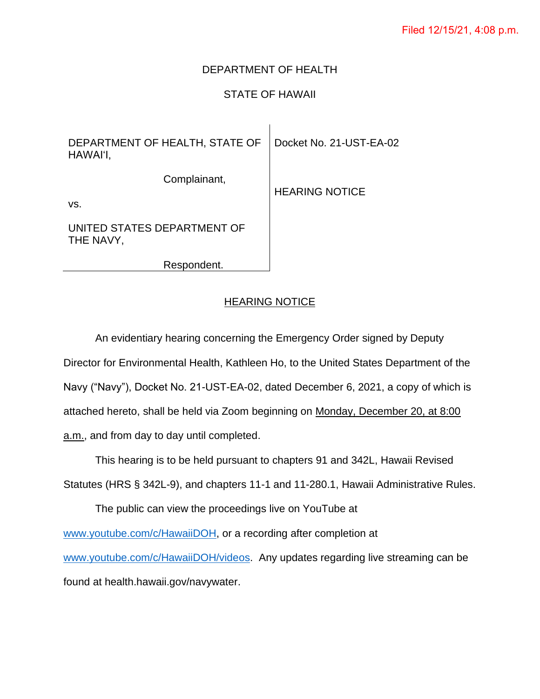## DEPARTMENT OF HEALTH

# STATE OF HAWAII

 $\overline{1}$ 

| DEPARTMENT OF HEALTH, STATE OF<br>HAWAI'I, | Docket No. 21-UST-EA-02 |
|--------------------------------------------|-------------------------|
| Complainant,<br>VS.                        | <b>HEARING NOTICE</b>   |
| UNITED STATES DEPARTMENT OF<br>THE NAVY,   |                         |

Respondent.

### HEARING NOTICE

An evidentiary hearing concerning the Emergency Order signed by Deputy Director for Environmental Health, Kathleen Ho, to the United States Department of the Navy ("Navy"), Docket No. 21-UST-EA-02, dated December 6, 2021, a copy of which is attached hereto, shall be held via Zoom beginning on Monday, December 20, at 8:00 a.m., and from day to day until completed.

This hearing is to be held pursuant to chapters 91 and 342L, Hawaii Revised Statutes (HRS § 342L-9), and chapters 11-1 and 11-280.1, Hawaii Administrative Rules. The public can view the proceedings live on YouTube at [www.youtube.com/c/HawaiiDOH,](http://www.youtube.com/c/HawaiiDOH) or a recording after completion at [www.youtube.com/c/HawaiiDOH/videos.](http://www.youtube.com/c/HawaiiDOH/videos) Any updates regarding live streaming can be found at health.hawaii.gov/navywater.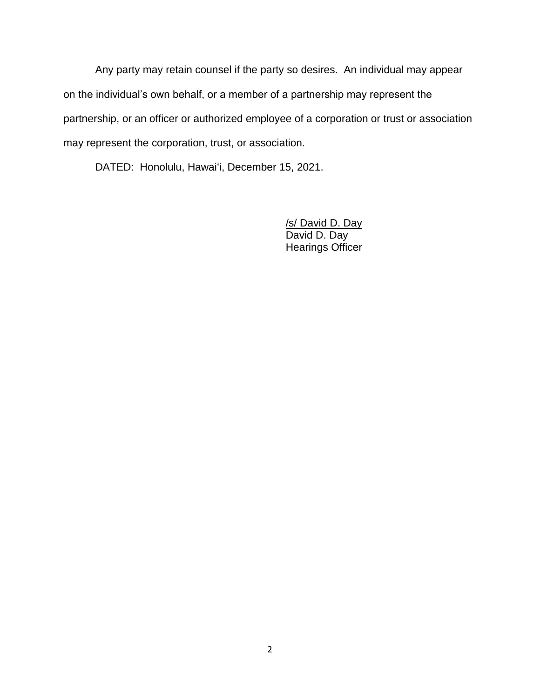Any party may retain counsel if the party so desires. An individual may appear on the individual's own behalf, or a member of a partnership may represent the partnership, or an officer or authorized employee of a corporation or trust or association may represent the corporation, trust, or association.

DATED: Honolulu, Hawaiʻi, December 15, 2021.

/s/ David D. Day David D. Day Hearings Officer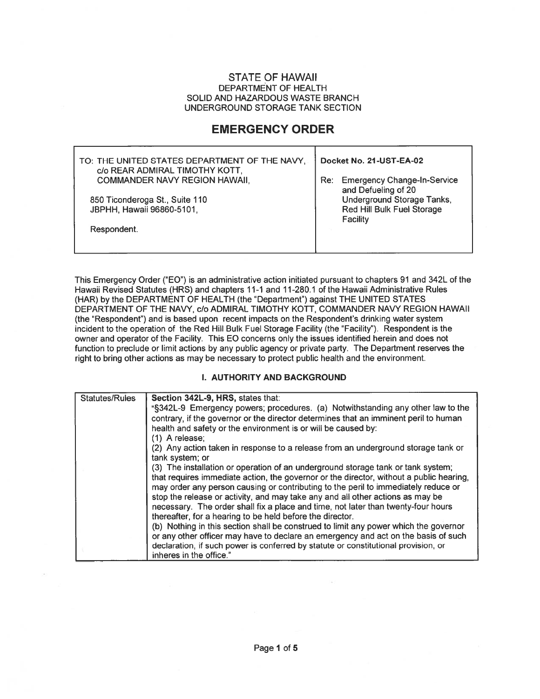#### **STATE OF HAWAII** DEPARTMENT OF HEALTH SOLID AND HAZARDOUS WASTE BRANCH UNDERGROUND STORAGE TANK SECTION

# **EMERGENCY ORDER**

| TO: THE UNITED STATES DEPARTMENT OF THE NAVY,<br>c/o REAR ADMIRAL TIMOTHY KOTT, | Docket No. 21-UST-EA-02                                              |
|---------------------------------------------------------------------------------|----------------------------------------------------------------------|
| <b>COMMANDER NAVY REGION HAWAII.</b>                                            | <b>Emergency Change-In-Service</b><br>Re∶<br>and Defueling of 20     |
| 850 Ticonderoga St., Suite 110<br>JBPHH, Hawaii 96860-5101,                     | Underground Storage Tanks,<br>Red Hill Bulk Fuel Storage<br>Facility |
| Respondent.                                                                     |                                                                      |

This Emergency Order ("EO") is an administrative action initiated pursuant to chapters 91 and 342L of the Hawaii Revised Statutes (HRS) and chapters 11-1 and 11-280.1 of the Hawaii Administrative Rules (HAR) by the DEPARTMENT OF HEALTH (the "Department") against THE UNITED STATES DEPARTMENT OF THE NAVY, c/o ADMIRAL TIMOTHY KOTT, COMMANDER NAVY REGION HAWAII (the "Respondent") and is based upon recent impacts on the Respondent's drinking water system incident to the operation of the Red Hill Bulk Fuel Storage Facility (the "Facility"). Respondent is the owner and operator of the Facility. This EO concerns only the issues identified herein and does not function to preclude or limit actions by any public agency or private party. The Department reserves the right to bring other actions as may be necessary to protect public health and the environment.

#### I. AUTHORITY AND BACKGROUND

| Statutes/Rules | Section 342L-9, HRS, states that:                                                                    |
|----------------|------------------------------------------------------------------------------------------------------|
|                | "§342L-9 Emergency powers; procedures. (a) Notwithstanding any other law to the                      |
|                | contrary, if the governor or the director determines that an imminent peril to human                 |
|                | health and safety or the environment is or will be caused by:                                        |
|                | (1) A release;                                                                                       |
|                | (2) Any action taken in response to a release from an underground storage tank or<br>tank system; or |
|                | (3) The installation or operation of an underground storage tank or tank system;                     |
|                | that requires immediate action, the governor or the director, without a public hearing,              |
|                | may order any person causing or contributing to the peril to immediately reduce or                   |
|                | stop the release or activity, and may take any and all other actions as may be                       |
|                | necessary. The order shall fix a place and time, not later than twenty-four hours                    |
|                | thereafter, for a hearing to be held before the director.                                            |
|                | (b) Nothing in this section shall be construed to limit any power which the governor                 |
|                | or any other officer may have to declare an emergency and act on the basis of such                   |
|                | declaration, if such power is conferred by statute or constitutional provision, or                   |
|                | inheres in the office."                                                                              |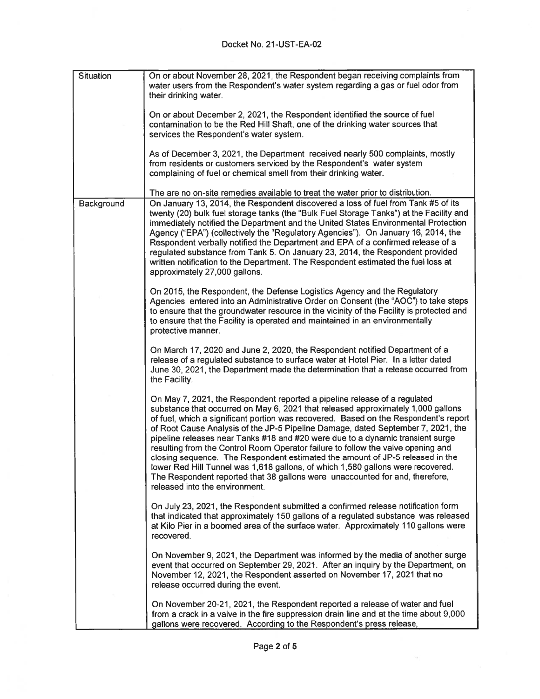| <b>Situation</b> | On or about November 28, 2021, the Respondent began receiving complaints from<br>water users from the Respondent's water system regarding a gas or fuel odor from<br>their drinking water.                                                                                                                                                                                                                                                                                                                                                                                                                                                                                                                                                                                                            |
|------------------|-------------------------------------------------------------------------------------------------------------------------------------------------------------------------------------------------------------------------------------------------------------------------------------------------------------------------------------------------------------------------------------------------------------------------------------------------------------------------------------------------------------------------------------------------------------------------------------------------------------------------------------------------------------------------------------------------------------------------------------------------------------------------------------------------------|
|                  | On or about December 2, 2021, the Respondent identified the source of fuel<br>contamination to be the Red Hill Shaft, one of the drinking water sources that<br>services the Respondent's water system.                                                                                                                                                                                                                                                                                                                                                                                                                                                                                                                                                                                               |
|                  | As of December 3, 2021, the Department received nearly 500 complaints, mostly<br>from residents or customers serviced by the Respondent's water system<br>complaining of fuel or chemical smell from their drinking water.                                                                                                                                                                                                                                                                                                                                                                                                                                                                                                                                                                            |
|                  | The are no on-site remedies available to treat the water prior to distribution.                                                                                                                                                                                                                                                                                                                                                                                                                                                                                                                                                                                                                                                                                                                       |
| Background       | On January 13, 2014, the Respondent discovered a loss of fuel from Tank #5 of its<br>twenty (20) bulk fuel storage tanks (the "Bulk Fuel Storage Tanks") at the Facility and<br>immediately notified the Department and the United States Environmental Protection<br>Agency ("EPA") (collectively the "Regulatory Agencies"). On January 16, 2014, the<br>Respondent verbally notified the Department and EPA of a confirmed release of a<br>regulated substance from Tank 5. On January 23, 2014, the Respondent provided<br>written notification to the Department. The Respondent estimated the fuel loss at<br>approximately 27,000 gallons.                                                                                                                                                     |
|                  | On 2015, the Respondent, the Defense Logistics Agency and the Regulatory<br>Agencies entered into an Administrative Order on Consent (the "AOC") to take steps<br>to ensure that the groundwater resource in the vicinity of the Facility is protected and<br>to ensure that the Facility is operated and maintained in an environmentally<br>protective manner.                                                                                                                                                                                                                                                                                                                                                                                                                                      |
|                  | On March 17, 2020 and June 2, 2020, the Respondent notified Department of a<br>release of a regulated substance to surface water at Hotel Pier. In a letter dated<br>June 30, 2021, the Department made the determination that a release occurred from<br>the Facility.                                                                                                                                                                                                                                                                                                                                                                                                                                                                                                                               |
|                  | On May 7, 2021, the Respondent reported a pipeline release of a regulated<br>substance that occurred on May 6, 2021 that released approximately 1,000 gallons<br>of fuel, which a significant portion was recovered. Based on the Respondent's report<br>of Root Cause Analysis of the JP-5 Pipeline Damage, dated September 7, 2021, the<br>pipeline releases near Tanks #18 and #20 were due to a dynamic transient surge<br>resulting from the Control Room Operator failure to follow the valve opening and<br>closing sequence. The Respondent estimated the amount of JP-5 released in the<br>lower Red Hill Tunnel was 1,618 gallons, of which 1,580 gallons were recovered.<br>The Respondent reported that 38 gallons were unaccounted for and, therefore,<br>released into the environment. |
|                  | On July 23, 2021, the Respondent submitted a confirmed release notification form<br>that indicated that approximately 150 gallons of a regulated substance was released<br>at Kilo Pier in a boomed area of the surface water. Approximately 110 gallons were<br>recovered.                                                                                                                                                                                                                                                                                                                                                                                                                                                                                                                           |
|                  | On November 9, 2021, the Department was informed by the media of another surge<br>event that occurred on September 29, 2021. After an inquiry by the Department, on<br>November 12, 2021, the Respondent asserted on November 17, 2021 that no<br>release occurred during the event.                                                                                                                                                                                                                                                                                                                                                                                                                                                                                                                  |
|                  | On November 20-21, 2021, the Respondent reported a release of water and fuel<br>from a crack in a valve in the fire suppression drain line and at the time about 9,000<br>gallons were recovered. According to the Respondent's press release,                                                                                                                                                                                                                                                                                                                                                                                                                                                                                                                                                        |

 $\overline{M}$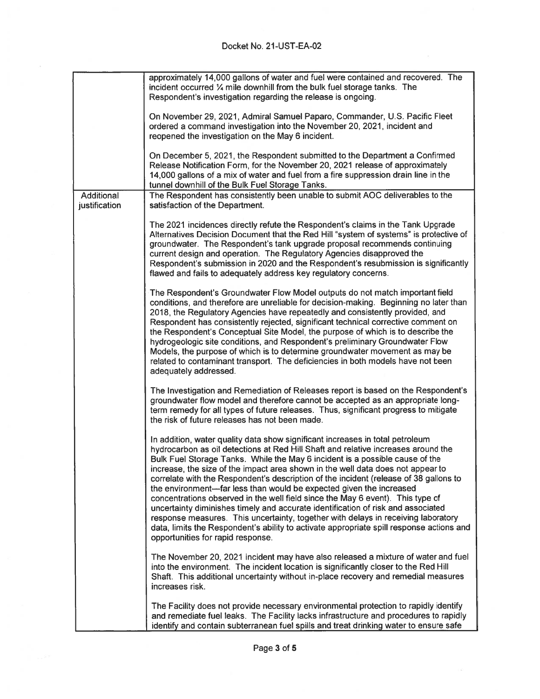## Docket No. 21-UST-EA-02

|                             | approximately 14,000 gallons of water and fuel were contained and recovered. The<br>incident occurred % mile downhill from the bulk fuel storage tanks. The<br>Respondent's investigation regarding the release is ongoing.                                                                                                                                                                                                                                                                                                                                                                                                                                                                                                                                                                                                                                                                       |
|-----------------------------|---------------------------------------------------------------------------------------------------------------------------------------------------------------------------------------------------------------------------------------------------------------------------------------------------------------------------------------------------------------------------------------------------------------------------------------------------------------------------------------------------------------------------------------------------------------------------------------------------------------------------------------------------------------------------------------------------------------------------------------------------------------------------------------------------------------------------------------------------------------------------------------------------|
|                             | On November 29, 2021, Admiral Samuel Paparo, Commander, U.S. Pacific Fleet<br>ordered a command investigation into the November 20, 2021, incident and<br>reopened the investigation on the May 6 incident.                                                                                                                                                                                                                                                                                                                                                                                                                                                                                                                                                                                                                                                                                       |
|                             | On December 5, 2021, the Respondent submitted to the Department a Confirmed<br>Release Notification Form, for the November 20, 2021 release of approximately<br>14,000 gallons of a mix of water and fuel from a fire suppression drain line in the<br>tunnel downhill of the Bulk Fuel Storage Tanks.                                                                                                                                                                                                                                                                                                                                                                                                                                                                                                                                                                                            |
| Additional<br>justification | The Respondent has consistently been unable to submit AOC deliverables to the<br>satisfaction of the Department.                                                                                                                                                                                                                                                                                                                                                                                                                                                                                                                                                                                                                                                                                                                                                                                  |
|                             | The 2021 incidences directly refute the Respondent's claims in the Tank Upgrade<br>Alternatives Decision Document that the Red Hill "system of systems" is protective of<br>groundwater. The Respondent's tank upgrade proposal recommends continuing<br>current design and operation. The Regulatory Agencies disapproved the<br>Respondent's submission in 2020 and the Respondent's resubmission is significantly<br>flawed and fails to adequately address key regulatory concerns.                                                                                                                                                                                                                                                                                                                                                                                                           |
|                             | The Respondent's Groundwater Flow Model outputs do not match important field<br>conditions, and therefore are unreliable for decision-making. Beginning no later than<br>2018, the Regulatory Agencies have repeatedly and consistently provided, and<br>Respondent has consistently rejected, significant technical corrective comment on<br>the Respondent's Conceptual Site Model, the purpose of which is to describe the<br>hydrogeologic site conditions, and Respondent's preliminary Groundwater Flow<br>Models, the purpose of which is to determine groundwater movement as may be<br>related to contaminant transport. The deficiencies in both models have not been<br>adequately addressed.                                                                                                                                                                                          |
|                             | The Investigation and Remediation of Releases report is based on the Respondent's<br>groundwater flow model and therefore cannot be accepted as an appropriate long-<br>term remedy for all types of future releases. Thus, significant progress to mitigate<br>the risk of future releases has not been made.                                                                                                                                                                                                                                                                                                                                                                                                                                                                                                                                                                                    |
|                             | In addition, water quality data show significant increases in total petroleum<br>hydrocarbon as oil detections at Red Hill Shaft and relative increases around the<br>Bulk Fuel Storage Tanks. While the May 6 incident is a possible cause of the<br>increase, the size of the impact area shown in the well data does not appear to<br>correlate with the Respondent's description of the incident (release of 38 gallons to<br>the environment—far less than would be expected given the increased<br>concentrations observed in the well field since the May 6 event). This type of<br>uncertainty diminishes timely and accurate identification of risk and associated<br>response measures. This uncertainty, together with delays in receiving laboratory<br>data, limits the Respondent's ability to activate appropriate spill response actions and<br>opportunities for rapid response. |
|                             | The November 20, 2021 incident may have also released a mixture of water and fuel<br>into the environment. The incident location is significantly closer to the Red Hill<br>Shaft. This additional uncertainty without in-place recovery and remedial measures<br>increases risk.                                                                                                                                                                                                                                                                                                                                                                                                                                                                                                                                                                                                                 |
|                             | The Facility does not provide necessary environmental protection to rapidly identify<br>and remediate fuel leaks. The Facility lacks infrastructure and procedures to rapidly<br>identify and contain subterranean fuel spills and treat drinking water to ensure safe                                                                                                                                                                                                                                                                                                                                                                                                                                                                                                                                                                                                                            |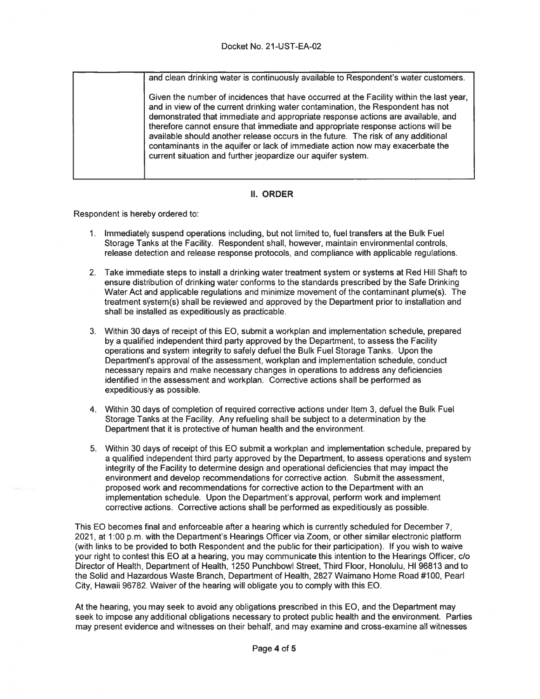### Docket No. 21-UST-EA-02

and clean drinking water is continuously available to Respondent's water customers.

Given the number of incidences that have occurred at the Facility within the last year, and in view of the current drinking water contamination, the Respondent has not demonstrated that immediate and appropriate response actions are available, and therefore cannot ensure that immediate and appropriate response actions will be available should another release occurs in the future. The risk of any additional contaminants in the aquifer or lack of immediate action now may exacerbate the current situation and further jeopardize our aquifer system.

### **II. ORDER**

Respondent is hereby ordered to:

- 1. Immediately suspend operations including, but not limited to, fuel transfers at the Bulk Fuel Storage Tanks at the Facility. Respondent shall, however, maintain environmental controls, release detection and release response protocols, and compliance with applicable regulations.
- 2. Take immediate steps to install a drinking water treatment system or systems at Red Hill Shaft to ensure distribution of drinking water conforms to the standards prescribed by the Safe Drinking Water Act and applicable regulations and minimize movement of the contaminant plume(s). The treatment system(s) shall be reviewed and approved by the Department prior to installation and shall be installed as expeditiously as practicable.
- 3. Within 30 days of receipt of this EO, submit a workplan and implementation schedule, prepared by a qualified independent third party approved by the Department, to assess the Facility operations and system integrity to safely defuel the Bulk Fuel Storage Tanks. Upon the Department's approval of the assessment, workplan and implementation schedule, conduct necessary repairs and make necessary changes in operations to address any deficiencies identified in the assessment and workplan. Corrective actions shall be performed as expeditiously as possible.
- 4. Within 30 days of completion of required corrective actions under Item 3, defuel the Bulk Fuel Storage Tanks at the Facility. Any refueling shall be subject to a determination by the Department that it is protective of human health and the environment.
- 5. Within 30 days of receipt of this EO submit a workplan and implementation schedule, prepared by a qualified independent third party approved by the Department, to assess operations and system integrity of the Facility to determine design and operational deficiencies that may impact the environment and develop recommendations for corrective action. Submit the assessment. proposed work and recommendations for corrective action to the Department with an implementation schedule. Upon the Department's approval, perform work and implement corrective actions. Corrective actions shall be performed as expeditiously as possible.

This EO becomes final and enforceable after a hearing which is currently scheduled for December 7. 2021, at 1:00 p.m. with the Department's Hearings Officer via Zoom, or other similar electronic platform (with links to be provided to both Respondent and the public for their participation). If you wish to waive your right to contest this EO at a hearing, you may communicate this intention to the Hearings Officer, c/o Director of Health, Department of Health, 1250 Punchbowl Street, Third Floor, Honolulu, HI 96813 and to the Solid and Hazardous Waste Branch, Department of Health, 2827 Waimano Home Road #100, Pearl City, Hawaii 96782. Waiver of the hearing will obligate you to comply with this EO.

At the hearing, you may seek to avoid any obligations prescribed in this EO, and the Department may seek to impose any additional obligations necessary to protect public health and the environment. Parties may present evidence and witnesses on their behalf, and may examine and cross-examine all witnesses